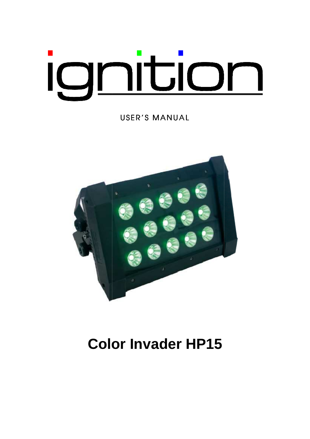# ignition

USER'S MANUAL



## **Color Invader HP15**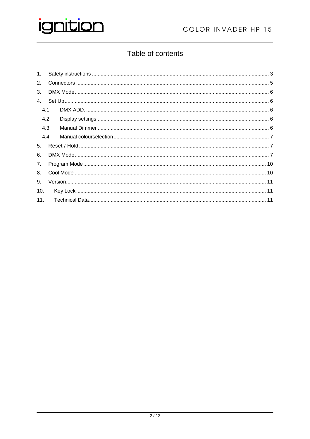

### Table of contents

| 4.1. |  |
|------|--|
| 4.2. |  |
| 4.3. |  |
| 4.4. |  |
|      |  |
|      |  |
|      |  |
|      |  |
|      |  |
|      |  |
|      |  |
|      |  |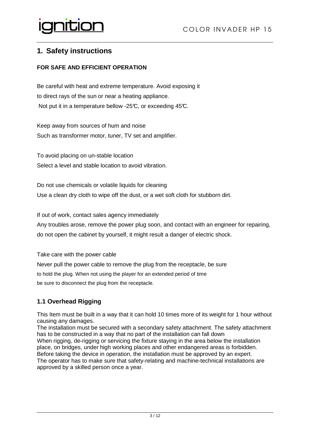#### **1. Safety instructions**

#### **FOR SAFE AND EFFICIENT OPERATION**

Be careful with heat and extreme temperature. Avoid exposing it to direct rays of the sun or near a heating appliance. Not put it in a temperature bellow -25 $\mathcal{C}$ , or exceeding 45 $\mathcal{C}$ .

Keep away from sources of hum and noise Such as transformer motor, tuner, TV set and amplifier.

To avoid placing on un-stable location Select a level and stable location to avoid vibration.

Do not use chemicals or volatile liquids for cleaning Use a clean dry cloth to wipe off the dust, or a wet soft cloth for stubborn dirt. stable location<br>
r volatile liquids for cleaning<br>
r volatile liquids for cleaning<br>
wipe off the dust, or a wet soft cloth for stubborn dirt.<br>
ales agency immediately<br>
nove the power plug soon, and contact with an engineer

If out of work, contact sales agency immediately

Any troubles arose, remove the power plug soon, and contact with an engineer for repairing, do not open the cabinet by yourself, it might result a danger of electric shock.

Take care with the power cable

Never pull the power cable to remove the plug from the receptacle, be sure

to hold the plug. When not using the player for an extended period of time

be sure to disconnect the plug from the receptacle.

#### **1.1 Overhead Rigging**

This Item must be built in a way that it can hold 10 times more of its weight for 1 hour without causing any damages.

The installation must be secured with a secondary safety attachment. The safety attachment has to be constructed in a way that no part of the installation can fall down When rigging, de-rigging or servicing the fixture staying in the area below the installation place, on bridges, under high working places and other endangered areas is forbidden. Before taking the device in operation, the installation must be approved by an expert. The operator has to make sure that safety-relating and machine-technical<br>approved by a skilled person once a year. approved by a skilled person once a year. de-rigging or servicing the fixture staying in the area below the installation<br>es, under high working places and other endangered areas is forbidden.<br>he device in operation, the installation must be approved by an expert.<br>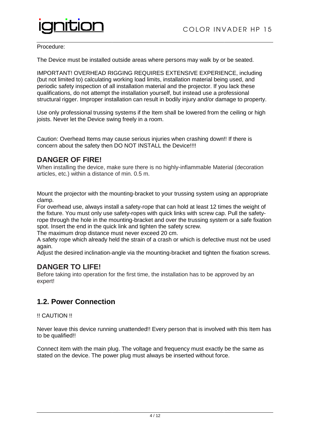

#### Procedure:

The Device must be installed outside areas where persons may walk by or be seated.

IMPORTANT! OVERHEAD RIGGING REQUIRES EXTENSIVE EXPERIENCE, including (but not limited to) calculating working load limits, installation material being used, and periodic safety inspection of all installation material and the projector. If you lack these qualifications, do not attempt the installation yourself, but instead use a professional structural rigger. Improper installation can result in bodily injury and/or damage to property. working load limits, installation material being used, and<br>
linstallation material and the projector. If you lack these<br>
he installation yourself, but instead use a professional<br>
allation can result in bodily injury and/or

Use only professional trussing systems if the Item shall be lowered from the ceiling or high joists. Never let the Device swing freely in a room.

Caution: Overhead Items may cause serious injuries when crashing down!! If there is concern about the safety then DO NOT INSTALL the Device!!!!

#### **DANGER OF FIRE!**

When installing the device, make sure there is no highly-inflammable Material (decoration articles, etc.) within a distance of min. 0.5 m.

Mount the projector with the mounting-bracket to your trussing system using an appropriate clamp.

For overhead use, always install a safety-rope that can hold at least 12 times the weight of the fixture. You must only use safety-ropes with quick links with screw cap. Pull the safety rope through the hole in the mounting-bracket and over the trussing system or a safe fixation spot. Insert the end in the quick link and tighten the safety screw.

The maximum drop distance must never exceed 20 cm.

A safety rope which already held the strain of a crash or which is defective must not be used again. bracket and over the tr<br>d tighten the safety scr<br>er exceed 20 cm.<br>train of a crash or whic<br>the mounting-bracket<br>t time, the installation h<br>mded!! Every person th<br>voltage and frequency

Adjust the desired inclination-angle via the mounting-bracket and tighten the fixation screws.

#### **DANGER TO LIFE!**

Before taking into operation for the first time, the installation has to be approved by an expert!

#### **1.2. Power Connection**

!! CAUTION !!

Never leave this device running unattended!! Every person that is involved with this Item has to be qualified!!

Connect item with the main plug. The voltage and frequency must exactly be the same as stated on the device. The power plug must always be inserted without force.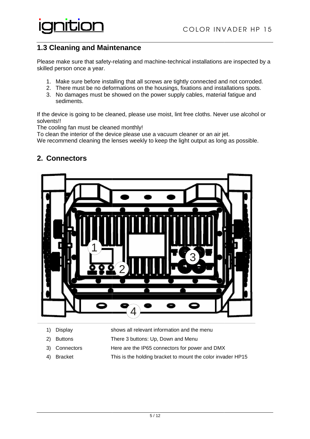#### **1.3 Cleaning and Maintenance**

Please make sure that safety-relating and machine-technical installations are inspected by a skilled person once a year. ase make sure that safety-relating and machine-technical installations are inspected t<br>ed person once a year.<br>1. Make sure before installing that all screws are tightly connected and not corroded<br>2. There must be no de

- 1. Make sure before installing that all screws are tightly connected and not corroded.
- 
- 3. No damages must be showed on the power supply cables, material fatigue and sediments.

If the device is going to be cleaned, please use moist, lint free cloths. Never use alcohol or solvents!!

The cooling fan must be cleaned monthly!

To clean the interior of the device please use a vacuum cleaner or an air jet.

We recommend cleaning the lenses weekly to keep the light output as long as possible.

| A<br>٨<br>٨ |  |
|-------------|--|
|             |  |
|             |  |
|             |  |

#### **2. Connectors**

- 1) Display shows all relevant information and the menu
- 2) Buttons There 3 buttons: Up, Down and Menu
- 3) Connectors Here are the IP65 connectors for power and DMX
- 4) Bracket This is the holding bracket to mount the color invader HP15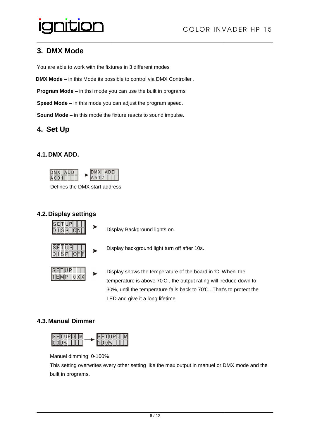#### **3. DMX Mode**

You are able to work with the fixtures in 3 different modes

**DMX Mode** – in this Mode its possible to control via DMX Controller .

**Program Mode** – in thsi mode you can use the built in programs

**Speed Mode** – in this mode you can adjust the program speed.

**Sound Mode** – in this mode the fixture reacts to sound impulse.

#### **4. Set Up**

#### **4.1. DMX ADD.**



Defines the DMX start address

#### **4.2. Display settings**



Display shows the temperature of the board in °C. When temperature is above  $70\textdegree C$ , the output rating will reduce down to 30%, until the temperature falls back to 70°C . That's to protect the LED and give it a long lifetime he board in ℃. When the<br>tput rating will\_reduce dow<br>ck to 70℃ . That's to proted<br>ut in manuel or DMX mode

#### **4.3. Manual Dimmer**



Manuel dimming 0-100%

This setting overwrites every other setting like the max output in manuel or DMX mode and the built in programs.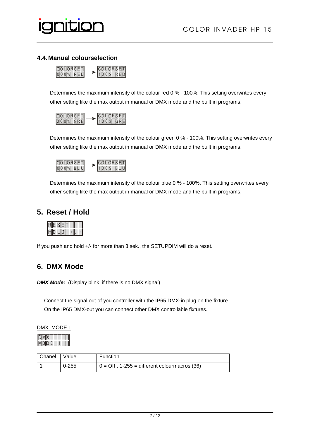

#### **4.4. Manual colourselection**



Determines the maximum intensity of the colour red 0 % - 100%. This setting overwrites every other setting like the max output in manual or DMX mode and the built in programs.



Determines the maximum intensity of the colour green 0 % - 100%. This setting overwrites every other setting like the max output in manual or DMX mode and the built in programs.



Determines the maximum intensity of the colour blue 0 % - 100%. This setting overwrites every other setting like the max output in manual or DMX mode and the built in programs. In the manual or DMX mode and the built in programs.<br>The maity of the colour green 0 % - 100%. This setting ove<br>ut in manual or DMX mode and the built in programs.<br>The manual or DMX mode and the built in programs.<br>This set

#### **5. Reset / Hold**



If you push and hold +/- for more than 3 sek., the SETUPDIM will do a reset.

#### **6. DMX Mode**

**DMX Mode:** (Display blink, if there is no DMX signal)

 Connect the signal out of you controller with the IP65 DMX-in plug on the fixture On the IP65 DMX-out you can connect other DMX controllable fixtures.

| DMX MODE 1 |  |
|------------|--|
|            |  |

| Chanel   Value |           | <b>Function</b>                                        |
|----------------|-----------|--------------------------------------------------------|
|                | $0 - 255$ | $0 = \text{Off}$ , 1-255 = different colourmacros (36) |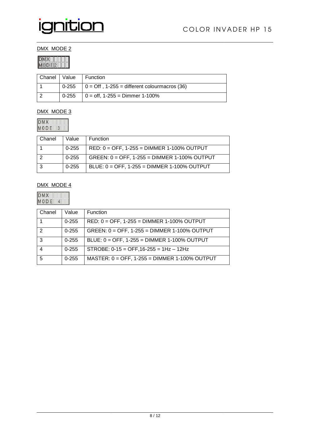

#### DMX MODE 2

| r. |
|----|
|    |
|    |

|  | Chanel   Value   Function                              |
|--|--------------------------------------------------------|
|  |                                                        |
|  | $0-255$   0 = Off, 1-255 = different colourmacros (36) |
|  | $0-255$   0 = off, 1-255 = Dimmer 1-100%               |

#### DMX MODE 3

 $\begin{array}{|c|c|c|c|}\n\hline\nDMX & & & \\
\hline\nM0D & & & \\
\hline\n\end{array}$ 

| Chanel | Value     | <b>Function</b>                                 |
|--------|-----------|-------------------------------------------------|
|        | $0 - 255$ | $RED: 0 = OFF, 1-255 = DIMMER 1-100\% OUTPUT$   |
|        | $0 - 255$ | $GREEN: 0 = OFF, 1-255 = DIMMER 1-100\% OUTPUT$ |
|        | $0 - 255$ | BLUE: 0 = OFF, 1-255 = DIMMER 1-100% OUTPUT     |

#### DMX MODE 4

 $\begin{array}{|c|c|c|c|}\n\hline\nDMX & & & \\
\hline\nM 0 D E & 4 & \\\hline\n\end{array}$ 

| Chanel | Value     | <b>Function</b>                                 |
|--------|-----------|-------------------------------------------------|
|        | $0 - 255$ | $RED: 0 = OFF$ , 1-255 = DIMMER 1-100% OUTPUT   |
| 2      | $0 - 255$ | GREEN: $0 =$ OFF, 1-255 = DIMMER 1-100% OUTPUT  |
| 3      | $0 - 255$ | BLUE: 0 = OFF, 1-255 = DIMMER 1-100% OUTPUT     |
|        | $0 - 255$ | STROBE: $0-15 =$ OFF, $16-255 = 1$ Hz - $12$ Hz |
|        | $0 - 255$ | MASTER: $0 =$ OFF, 1-255 = DIMMER 1-100% OUTPUT |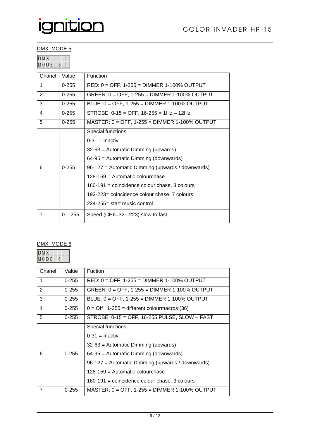#### DMX MODE 5

| ı              |  |
|----------------|--|
| <b>IN</b><br>٠ |  |

| Chanel               | Value     | Function                                         |
|----------------------|-----------|--------------------------------------------------|
| 1                    | $0 - 255$ | RED: 0 = OFF, 1-255 = DIMMER 1-100% OUTPUT       |
| $\overline{2}$       | $0 - 255$ | GREEN: 0 = OFF, 1-255 = DIMMER 1-100% OUTPUT     |
| 3                    | $0 - 255$ | BLUE: 0 = OFF, 1-255 = DIMMER 1-100% OUTPUT      |
| 4                    | $0 - 255$ | STROBE: $0-15 =$ OFF, $16-255 = 1$ Hz - $12$ Hz  |
| 5                    | $0 - 255$ | MASTER: 0 = OFF, 1-255 = DIMMER 1-100% OUTPUT    |
|                      |           | Special functions                                |
|                      |           | $0-31$ = Inactiv                                 |
|                      |           | $32-63$ = Automatic Dimming (upwards)            |
|                      |           | 64-95 = Automatic Dimming (downwards)            |
| 6                    | $0 - 255$ | 96-127 = Automatic Dimming (upwards / downwards) |
|                      |           | 128-159 = Automatic colourchase                  |
|                      |           | 160-191 = coincidence colour chase, 3 colours    |
|                      |           | 192-223= coincidence colour chase, 7 colours     |
|                      |           | 224-255= start music control                     |
| $\overline{7}$       | $0 - 255$ | Speed (CH6=32 - 223) slow to fast                |
|                      |           |                                                  |
|                      |           |                                                  |
| DMX MODE 6           |           |                                                  |
| <b>DMX</b><br>10 D E | 6         |                                                  |
| Chanel               | Value     | Fuction                                          |
| $\mathbf{1}$         | $0 - 255$ | RED: $0 =$ OFF, 1-255 = DIMMER 1-100% OUTPUT     |

#### DMX MODE 6

| <b>IDMX</b> |       |  |  |
|-------------|-------|--|--|
|             | M O D |  |  |

| Chanel         | Value     | Fuction                                                |
|----------------|-----------|--------------------------------------------------------|
| 1              | $0 - 255$ | $RED: 0 = OFF$ , 1-255 = DIMMER 1-100% OUTPUT          |
| $\overline{2}$ | $0 - 255$ | GREEN: $0 =$ OFF, 1-255 = DIMMER 1-100% OUTPUT         |
| 3              | $0 - 255$ | BLUE: 0 = OFF, 1-255 = DIMMER 1-100% OUTPUT            |
| 4              | $0 - 255$ | $0 = \text{Off}$ , 1-255 = different colourmacros (36) |
| 5              | $0 - 255$ | $STROBE: 0-15 = OFF, 16-255 PULSE, SLOW – FAST$        |
|                |           | Special functions                                      |
|                |           | $0-31$ = Inactiv                                       |
|                |           | $32-63$ = Automatic Dimming (upwards)                  |
| 6              | $0 - 255$ | $64-95$ = Automatic Dimming (downwards)                |
|                |           | 96-127 = Automatic Dimming (upwards / downwards)       |
|                |           | $128-159$ = Automatic colourchase                      |
|                |           | $160-191$ = coincidence colour chase, 3 colours        |
| $\overline{7}$ | $0 - 255$ | $MASTER: 0 = OFF, 1-255 = DIMMER 1-100\% OUTPUT$       |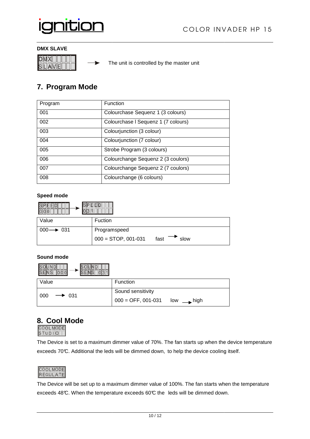

▶

#### **DMX SLAVE**



The unit is controlled by the master unit

#### **7. Program Mode**

| Program | Function                            |
|---------|-------------------------------------|
| 001     | Colourchase Sequenz 1 (3 colours)   |
| 002     | Colourchase I Sequenz 1 (7 colours) |
| 003     | Colourjunction (3 colour)           |
| 004     | Colourjunction (7 colour)           |
| 005     | Strobe Program (3 colours)          |
| 006     | Colourchange Sequenz 2 (3 coulors)  |
| 007     | Colourchange Sequenz 2 (7 coulors)  |
| 008     | Colourchange (6 colours)            |

#### **Speed mode**

| Value                 | <b>Fuction</b>                        |  |  |  |
|-----------------------|---------------------------------------|--|--|--|
| $000 \rightarrow 031$ | Programspeed                          |  |  |  |
|                       | $000 =$ STOP, 001-031<br>slow<br>fast |  |  |  |

#### **Sound mode**

| Value                    | Function                                           |
|--------------------------|----------------------------------------------------|
| 000<br>$\rightarrow$ 031 | Sound sensitivity                                  |
|                          | $000 =$ OFF, 001-031<br>$\blacksquare$ high<br>low |

## **8. Cool Mode**



The Device is set to a maximum dimmer value of 70%. The fan starts up when the device temperature exceeds 70°C. Additional the leds will be dimmed down, to help the device cooling itself.



exceeds 70℃. Additional the leds will be dimmed down, to help the device cooling itself.<br>COOLMODE<br>REGULIATE exceeds 48°C. When the temperature exceeds 60°C the leds will be dimmed down.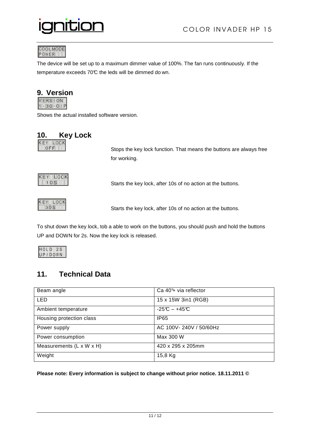

COOLMODE<br>POWER

The device will be set up to a maximum dimmer value of 100%. The fan runs continuously. If the temperature exceeds 70°C the leds will be dimmed do wn.

## **9. Version**<br>**MERSHON**

 $1 - 30 - 01P$ 

Shows the actual installed software version.

| 10.      | <b>Key Lock</b> |
|----------|-----------------|
| KEY LOCK |                 |

 Stops the key lock function. That means the buttons are always free for working.



la Santa Santa Santa Santa Santa Santa Santa Santa Santa Santa Santa Santa Santa Santa Santa Santa Santa Santa Starts the key lock, after 10s of no action at the buttons.



Starts the key lock, after 10s of no action at the buttons.<br>Starts the key lock, after 10s of no action at the buttons.

To shut down the key lock, tob a able to work on the buttons, you should push and hold the buttons UP and DOWN for 2s. Now the key lock is released.

| - |  |  |
|---|--|--|

#### **11. Technical Data**

| Beam angle               | Ca 40 <sup>°+</sup> via reflector |
|--------------------------|-----------------------------------|
| <b>LED</b>               | 15 x 15W 3in1 (RGB)               |
| Ambient temperature      | $-25C - +45C$                     |
| Housing protection class | <b>IP65</b>                       |
| Power supply             | AC 100V-240V / 50/60Hz            |
| Power consumption        | Max 300 W                         |
| Measurements (L x W x H) | 420 x 295 x 205mm                 |
| Weight                   | 15,8 Kg                           |

**Please note: Every information is subject to change without prior notice. 18.11.2011 ©**